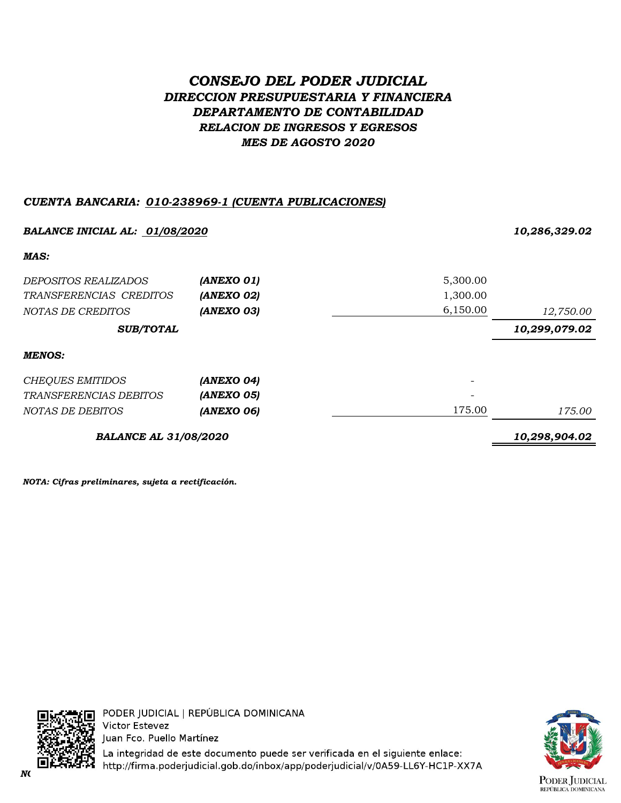# *CONSEJO DEL PODER JUDICIAL DIRECCION PRESUPUESTARIA Y FINANCIERA DEPARTAMENTO DE CONTABILIDAD RELACION DE INGRESOS Y EGRESOS MES DE AGOSTO 2020*

# *CUENTA BANCARIA: 010-238969-1 (CUENTA PUBLICACIONES)*

| BALANCE INICIAL AL: 01/08/2020 | 10,286,329.02 |          |               |
|--------------------------------|---------------|----------|---------------|
| MAS:                           |               |          |               |
| <i>DEPOSITOS REALIZADOS</i>    | (ANEXO 01)    | 5,300.00 |               |
| TRANSFERENCIAS CREDITOS        | (ANEXO 02)    | 1,300.00 |               |
| NOTAS DE CREDITOS              | (ANEXO 03)    | 6,150.00 | 12,750.00     |
| <b>SUB/TOTAL</b>               |               |          | 10,299,079.02 |
| <b>MENOS:</b>                  |               |          |               |
| <b>CHEQUES EMITIDOS</b>        | (ANEXO 04)    |          |               |
| <i>TRANSFERENCIAS DEBITOS</i>  | (ANEXO 05)    |          |               |
| NOTAS DE DEBITOS               | (ANEXO 06)    | 175.00   | 175.00        |
| <b>BALANCE AL 31/08/2020</b>   |               |          | 10,298,904.02 |

*NOTA: Cifras preliminares, sujeta a rectificación.*



PODER JUDICIAL | REPÚBLICA DOMINICANA **Victor Estevez** Juan Fco. Puello Martínez

La integridad de este documento puede ser verificada en el siguiente enlace: *NOTA: Cifras preliminares, sujetas a rectificación.*

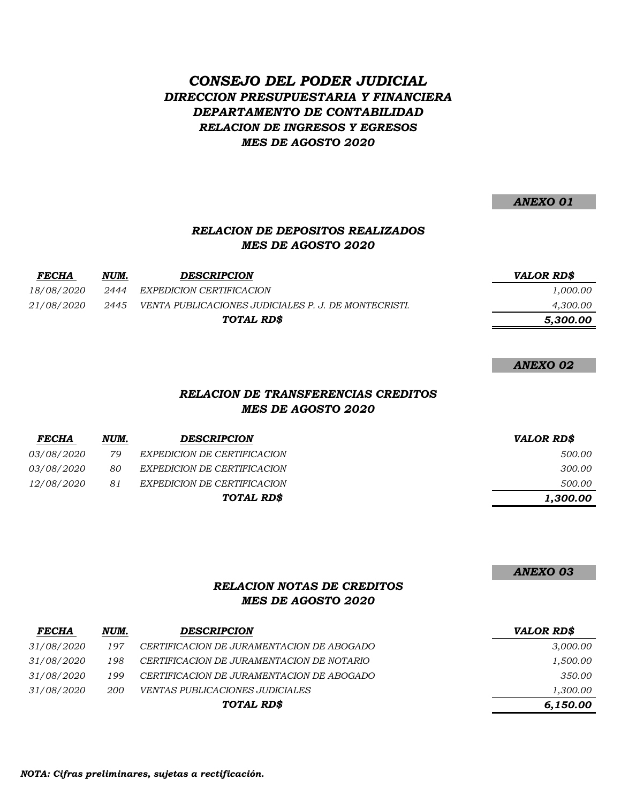# *CONSEJO DEL PODER JUDICIAL DIRECCION PRESUPUESTARIA Y FINANCIERA DEPARTAMENTO DE CONTABILIDAD RELACION DE INGRESOS Y EGRESOS MES DE AGOSTO 2020*

*ANEXO 01*

## *RELACION DE DEPOSITOS REALIZADOS MES DE AGOSTO 2020*

| <b>FECHA</b>      | NUM. | <b>DESCRIPCION</b>                                   | <i><b>VALOR RDS</b></i> |
|-------------------|------|------------------------------------------------------|-------------------------|
| <i>18/08/2020</i> | 2444 | EXPEDICION CERTIFICACION                             | 1,000.00                |
| 21/08/2020        | 2445 | VENTA PUBLICACIONES JUDICIALES P. J. DE MONTECRISTI. | 4,300.00                |
| TOTAL RD\$        |      | 5,300.00                                             |                         |

*ANEXO 02*

#### *RELACION DE TRANSFERENCIAS CREDITOS MES DE AGOSTO 2020*

| <b>FECHA</b>      | NUM. | <b>DESCRIPCION</b>          | <b>VALOR RD\$</b> |
|-------------------|------|-----------------------------|-------------------|
| <i>03/08/2020</i> | 79   | EXPEDICION DE CERTIFICACION | 500.00            |
| <i>03/08/2020</i> | 80   | EXPEDICION DE CERTIFICACION | 300.00            |
| <i>12/08/2020</i> | 81   | EXPEDICION DE CERTIFICACION | 500.00            |
|                   |      | TOTAL RD\$                  | 1,300.00          |

*ANEXO 03*

## *RELACION NOTAS DE CREDITOS MES DE AGOSTO 2020*

| <b>FECHA</b>      | NUM.       | <b>DESCRIPCION</b>                        | <b>VALOR RD\$</b> |
|-------------------|------------|-------------------------------------------|-------------------|
| 31/08/2020        | 197        | CERTIFICACION DE JURAMENTACION DE ABOGADO | 3,000.00          |
| <i>31/08/2020</i> | 198        | CERTIFICACION DE JURAMENTACION DE NOTARIO | 1,500.00          |
| <i>31/08/2020</i> | 199        | CERTIFICACION DE JURAMENTACION DE ABOGADO | 350.00            |
| 31/08/2020        | <i>200</i> | <i>VENTAS PUBLICACIONES JUDICIALES</i>    | 1,300.00          |
| TOTAL RD\$        |            | 6,150.00                                  |                   |